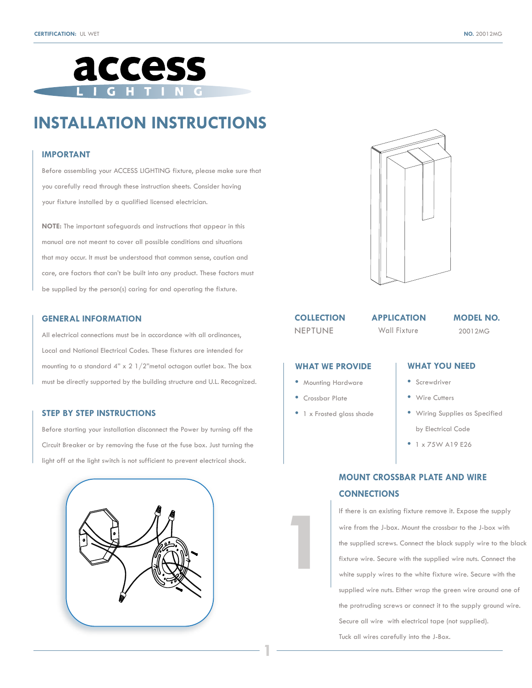



# **INSTALLATION INSTRUCTIONS**

#### **IMPORTANT**

Before assembling your ACCESS LIGHTING fixture, please make sure that you carefully read through these instruction sheets. Consider having your fixture installed by a qualified licensed electrician.

**NOTE:** The important safeguards and instructions that appear in this manual are not meant to cover all possible conditions and situations that may occur. It must be understood that common sense, caution and care, are factors that can't be built into any product. These factors must be supplied by the person(s) caring for and operating the fixture.

#### **GENERAL INFORMATION**

All electrical connections must be in accordance with all ordinances, Local and National Electrical Codes. These fixtures are intended for mounting to a standard 4" x 2 1/2"metal octagon outlet box. The box must be directly supported by the building structure and U.L. Recognized.

#### **STEP BY STEP INSTRUCTIONS**

Before starting your installation disconnect the Power by turning off the Circuit Breaker or by removing the fuse at the fuse box. Just turning the light off at the light switch is not sufficient to prevent electrical shock.





### **COLLECTION**

NEPTUNE Wall Fixture

#### **APPLICATION MODEL NO.**

20012MG

#### **WHAT WE PROVIDE**

- Mounting Hardware
- Crossbar Plate

**1**

**1**

**•** 1 x Frosted glass shade

### **WHAT YOU NEED**

- Screwdriver
- Wire Cutters
- Wiring Supplies as Specified
- by Electrical Code
- 1 x 75W A19 E26

### **MOUNT CROSSBAR PLATE AND WIRE CONNECTIONS**

If there is an existing fixture remove it. Expose the supply wire from the J-box. Mount the crossbar to the J-box with the supplied screws. Connect the black supply wire to the black fixture wire. Secure with the supplied wire nuts. Connect the white supply wires to the white fixture wire. Secure with the supplied wire nuts. Either wrap the green wire around one of the protruding screws or connect it to the supply ground wire. Secure all wire with electrical tape (not supplied). Tuck all wires carefully into the J-Box.